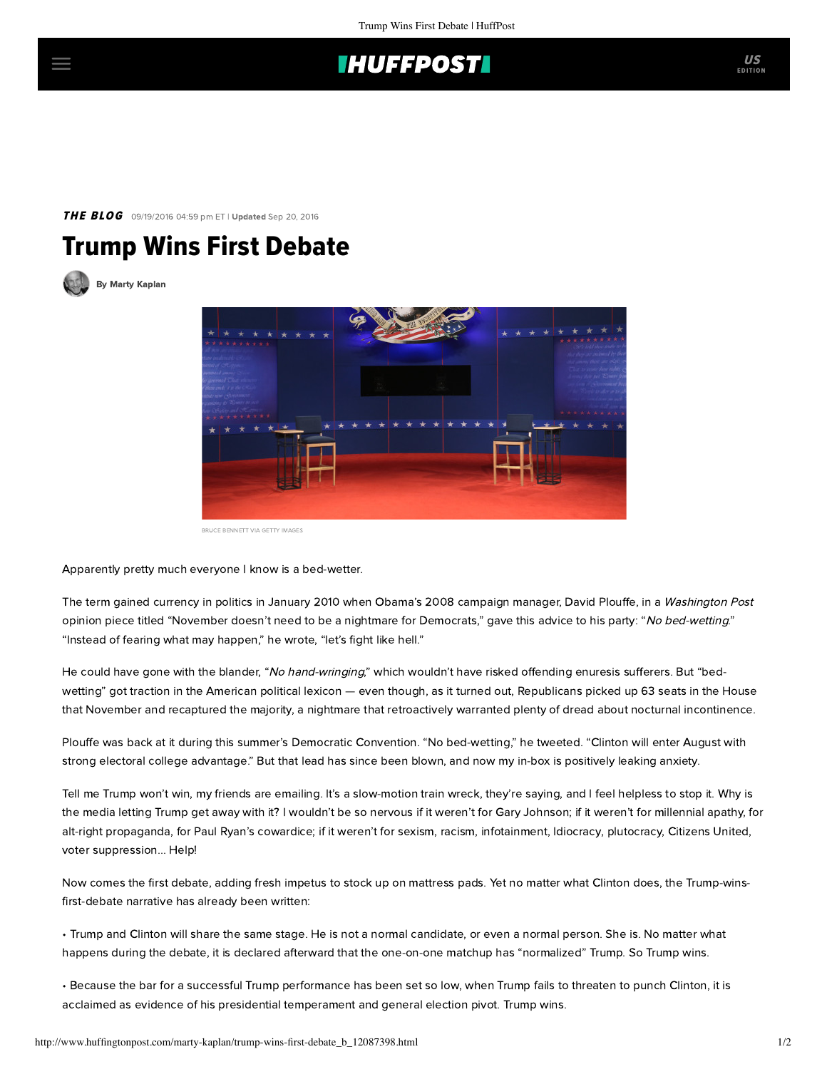## **IHUFFPOSTI**

### THE BLOG 09/19/2016 04:59 pm ET | Updated Sep 20, 2016

# Trump Wins First Debate

[By Marty Kaplan](http://www.huffingtonpost.com/author/marty-kaplan)



BRUCE BENNETT VIA GETTY IMAGES

Apparently pretty much everyone I know is a bed-wetter.

The term gained currency in politics in January 2010 when Obama's 2008 campaign manager, David Plouffe, in a Washington Post [opinion piece](http://www.washingtonpost.com/wp-dyn/content/article/2010/01/22/AR2010012204216.html) titled "November doesn't need to be a nightmare for Democrats," gave this advice to his party: "No bed-wetting." "Instead of fearing what may happen," he wrote, "let's fight like hell."

He could have gone with the blander, "No hand-wringing," which wouldn't have risked offending enuresis sufferers. But "bedwetting" got traction in the American political lexicon — even though, as it turned out, Republicans picked up 63 seats in the House that November and recaptured the majority, a nightmare that retroactively warranted plenty of dread about nocturnal incontinence.

Plouffe was back at it during this summer's Democratic Convention. "No bed-wetting," he [tweeted.](https://twitter.com/davidplouffe/status/757689065168900097) "Clinton will enter August with strong electoral college advantage." But that lead has since been blown, and now my in-box is positively leaking anxiety.

Tell me Trump won't win, my friends are emailing. It's a slow-motion train wreck, they're saying, and I feel helpless to stop it. Why is the media letting Trump get away with it? I wouldn't be so nervous if it weren't for Gary Johnson; if it weren't for millennial apathy, for alt-right propaganda, for Paul Ryan's cowardice; if it weren't for sexism, racism, infotainment, [Idiocracy](https://en.wikipedia.org/wiki/Idiocracy), plutocracy, Citizens United, voter suppression... Help!

Now comes the first debate, adding fresh impetus to stock up on mattress pads. Yet no matter what Clinton does, the Trump-winsfirst-debate narrative has already been written:

- Trump and Clinton will share the same stage. He is not a normal candidate, or even a normal person. She is. No matter what happens during the debate, it is declared afterward that the one-on-one matchup has "normalized" Trump. So Trump wins.
- Because the bar for a successful Trump performance has been set so low, when Trump fails to threaten to punch Clinton, it is acclaimed as evidence of his presidential temperament and general election pivot. Trump wins.